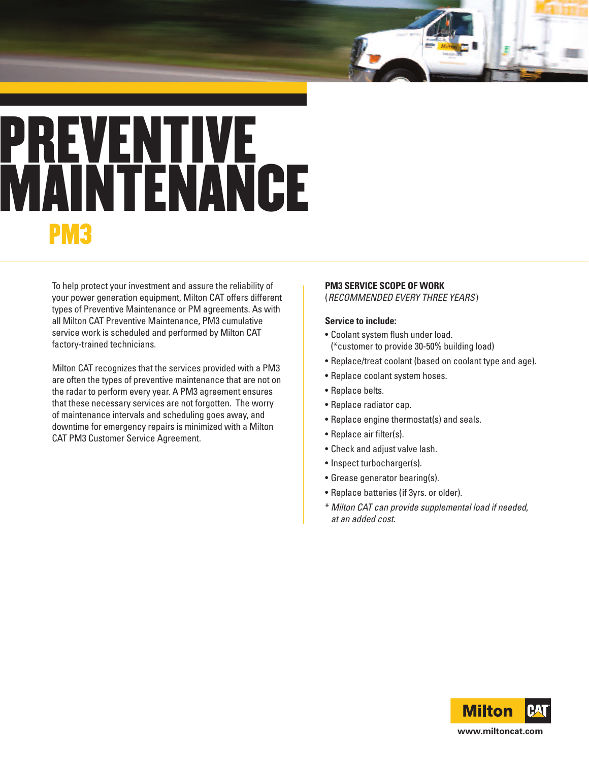## **PREVENTIVE MAINTENANCE PM3**

To help protect your investment and assure the reliability of your power generation equipment, Milton CAT offers different types of Preventive Maintenance or PM agreements. As with all Milton CAT Preventive Maintenance, PM3 cumulative service work is scheduled and performed by Milton CAT factory-trained technicians.

Milton CAT recognizes that the services provided with a PM3 are often the types of preventive maintenance that are not on the radar to perform every year. A PM3 agreement ensures that these necessary services are not forgotten. The worry of maintenance intervals and scheduling goes away, and downtime for emergency repairs is minimized with a Milton CAT PM3 Customer Service Agreement.

## **PM3 SERVICE SCOPE OF WORK**

(*RECOMMENDED EVERY THREE YEARS*)

## **Service to include:**

- Coolant system flush under load. (\*customer to provide 30-50% building load)
- Replace/treat coolant (based on coolant type and age).
- Replace coolant system hoses.
- Replace belts.
- Replace radiator cap.
- Replace engine thermostat(s) and seals.
- Replace air filter(s).
- Check and adjust valve lash.
- Inspect turbocharger(s).
- Grease generator bearing(s).
- Replace batteries (if 3yrs. or older).
- \* Milton CAT can provide supplemental load if needed, at an added cost.